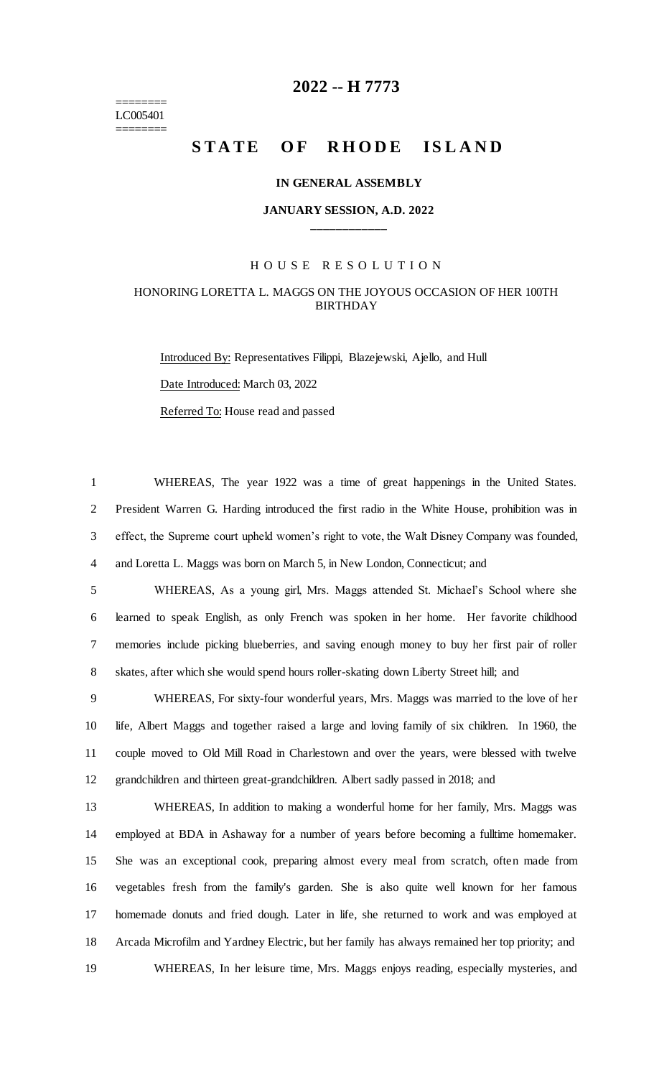======== LC005401 ========

## **-- H 7773**

# STATE OF RHODE ISLAND

#### **IN GENERAL ASSEMBLY**

#### **JANUARY SESSION, A.D. 2022 \_\_\_\_\_\_\_\_\_\_\_\_**

#### H O U S E R E S O L U T I O N

### HONORING LORETTA L. MAGGS ON THE JOYOUS OCCASION OF HER 100TH BIRTHDAY

Introduced By: Representatives Filippi, Blazejewski, Ajello, and Hull Date Introduced: March 03, 2022 Referred To: House read and passed

 WHEREAS, The year 1922 was a time of great happenings in the United States. President Warren G. Harding introduced the first radio in the White House, prohibition was in effect, the Supreme court upheld women's right to vote, the Walt Disney Company was founded, and Loretta L. Maggs was born on March 5, in New London, Connecticut; and

 WHEREAS, As a young girl, Mrs. Maggs attended St. Michael's School where she learned to speak English, as only French was spoken in her home. Her favorite childhood memories include picking blueberries, and saving enough money to buy her first pair of roller skates, after which she would spend hours roller-skating down Liberty Street hill; and

 WHEREAS, For sixty-four wonderful years, Mrs. Maggs was married to the love of her life, Albert Maggs and together raised a large and loving family of six children. In 1960, the couple moved to Old Mill Road in Charlestown and over the years, were blessed with twelve grandchildren and thirteen great-grandchildren. Albert sadly passed in 2018; and

 WHEREAS, In addition to making a wonderful home for her family, Mrs. Maggs was employed at BDA in Ashaway for a number of years before becoming a fulltime homemaker. She was an exceptional cook, preparing almost every meal from scratch, often made from vegetables fresh from the family's garden. She is also quite well known for her famous homemade donuts and fried dough. Later in life, she returned to work and was employed at Arcada Microfilm and Yardney Electric, but her family has always remained her top priority; and WHEREAS, In her leisure time, Mrs. Maggs enjoys reading, especially mysteries, and